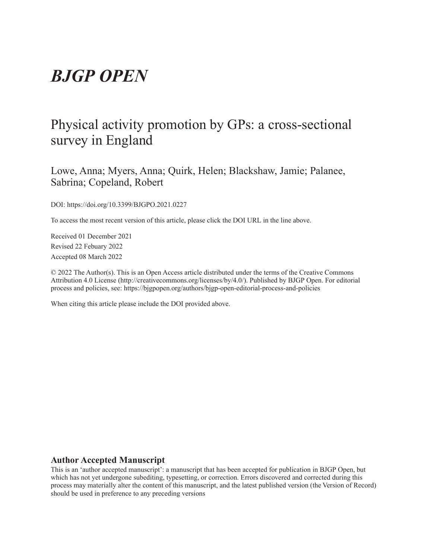# *BJGP OPEN*

## Physical activity promotion by GPs: a cross-sectional survey in England

Lowe, Anna; Myers, Anna; Quirk, Helen; Blackshaw, Jamie; Palanee, Sabrina; Copeland, Robert

DOI: https://doi.org/10.3399/BJGPO.2021.0227

To access the most recent version of this article, please click the DOI URL in the line above.

Received 01 December 2021 Revised 22 Febuary 2022 Accepted 08 March 2022

© 2022 The Author(s). This is an Open Access article distributed under the terms of the Creative Commons Attribution 4.0 License (http://creativecommons.org/licenses/by/4.0/). Published by BJGP Open. For editorial process and policies, see: https://bjgpopen.org/authors/bjgp-open-editorial-process-and-policies

When citing this article please include the DOI provided above.

#### **Author Accepted Manuscript**

This is an 'author accepted manuscript': a manuscript that has been accepted for publication in BJGP Open, but which has not yet undergone subediting, typesetting, or correction. Errors discovered and corrected during this process may materially alter the content of this manuscript, and the latest published version (the Version of Record) should be used in preference to any preceding versions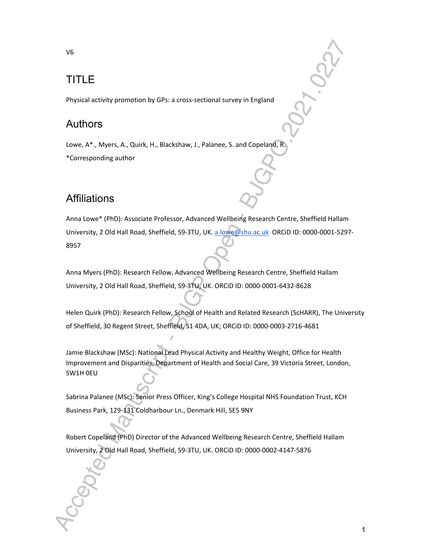#### V6

## TITLE

Physical activity promotion by GPs: a cross-sectional survey in England

## Authors

Lowe, A\*., Myers, A., Quirk, H., Blackshaw, J., Palanee, S. and Copeland, R. \*Corresponding author

## **Affiliations**

Anna Lowe\* (PhD): Associate Professor, Advanced Wellbeing Research Centre, Sheffield Hallam University, 2 Old Hall Road, Sheffield, S9-3TU, UK. a.lowe@shu.ac.uk ORCiD ID: 0000-0001-5297- 8957

Anna Myers (PhD): Research Fellow, Advanced Wellbeing Research Centre, Sheffield Hallam University, 2 Old Hall Road, Sheffield, S9-3TU, UK. ORCiD ID: 0000-0001-6432-8628

Helen Quirk (PhD): Research Fellow, School of Health and Related Research (ScHARR), The University of Sheffield, 30 Regent Street, Sheffield, S1 4DA, UK; ORCiD ID: 0000-0003-2716-4681

Jamie Blackshaw (MSc): National Lead Physical Activity and Healthy Weight, Office for Health Improvement and Disparities, Department of Health and Social Care, 39 Victoria Street, London, SW1H 0EU

Sabrina Palanee (MSc): Senior Press Officer, King's College Hospital NHS Foundation Trust, KCH Business Park, 129-131 Coldharbour Ln., Denmark Hill, SE5 9NY

Robert Copeland (PhD) Director of the Advanced Wellbeing Research Centre, Sheffield Hallam University, 2 Old Hall Road, Sheffield, S9-3TU, UK. ORCiD ID: 0000-0002-4147-5876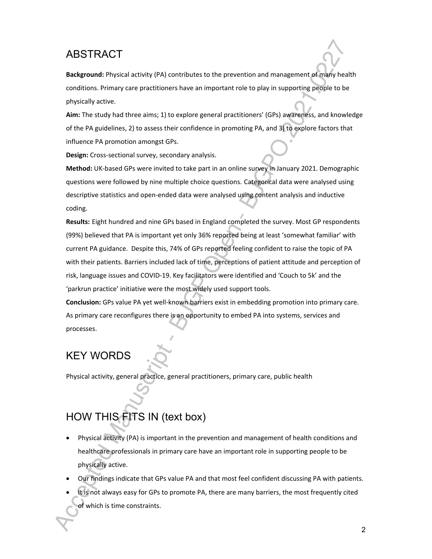## ABSTRACT

**Background:** Physical activity (PA) contributes to the prevention and management of many health conditions. Primary care practitioners have an important role to play in supporting people to be physically active.

**Aim:** The study had three aims; 1) to explore general practitioners' (GPs) awareness, and knowledge of the PA guidelines, 2) to assess their confidence in promoting PA, and 3) to explore factors that influence PA promotion amongst GPs.

**Design:** Cross-sectional survey, secondary analysis.

**Method:** UK-based GPs were invited to take part in an online survey in January 2021. Demographic questions were followed by nine multiple choice questions. Categorical data were analysed using descriptive statistics and open-ended data were analysed using content analysis and inductive coding.

**Results:** Eight hundred and nine GPs based in England completed the survey. Most GP respondents (99%) believed that PA is important yet only 36% reported being at least 'somewhat familiar' with current PA guidance. Despite this, 74% of GPs reported feeling confident to raise the topic of PA with their patients. Barriers included lack of time, perceptions of patient attitude and perception of risk, language issues and COVID-19. Key facilitators were identified and 'Couch to 5k' and the 'parkrun practice' initiative were the most widely used support tools.

**Conclusion:** GPs value PA yet well-known barriers exist in embedding promotion into primary care. As primary care reconfigures there is an opportunity to embed PA into systems, services and processes.

## KEY WORDS

Physical activity, general practice, general practitioners, primary care, public health

## HOW THIS FITS IN (text box)

- Physical activity (PA) is important in the prevention and management of health conditions and healthcare professionals in primary care have an important role in supporting people to be physically active.
- Our findings indicate that GPs value PA and that most feel confident discussing PA with patients.
- It is not always easy for GPs to promote PA, there are many barriers, the most frequently cited of which is time constraints.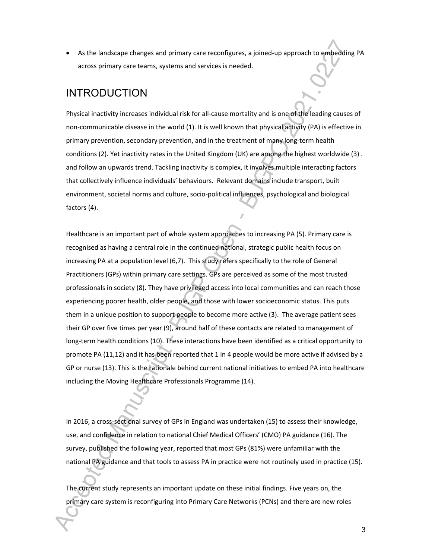As the landscape changes and primary care reconfigures, a joined-up approach to embedding PA across primary care teams, systems and services is needed.

## INTRODUCTION

Physical inactivity increases individual risk for all-cause mortality and is one of the leading causes of non-communicable disease in the world (1). It is well known that physical activity (PA) is effective in primary prevention, secondary prevention, and in the treatment of many long-term health conditions (2). Yet inactivity rates in the United Kingdom (UK) are among the highest worldwide (3) . and follow an upwards trend. Tackling inactivity is complex, it involves multiple interacting factors that collectively influence individuals' behaviours. Relevant domains include transport, built environment, societal norms and culture, socio-political influences, psychological and biological factors (4).

Healthcare is an important part of whole system approaches to increasing PA (5). Primary care is recognised as having a central role in the continued national, strategic public health focus on increasing PA at a population level (6,7). This study refers specifically to the role of General Practitioners (GPs) within primary care settings. GPs are perceived as some of the most trusted professionals in society (8). They have privileged access into local communities and can reach those experiencing poorer health, older people, and those with lower socioeconomic status. This puts them in a unique position to support people to become more active (3). The average patient sees their GP over five times per year (9), around half of these contacts are related to management of long-term health conditions (10). These interactions have been identified as a critical opportunity to promote PA (11,12) and it has been reported that 1 in 4 people would be more active if advised by a GP or nurse (13). This is the rationale behind current national initiatives to embed PA into healthcare including the Moving Healthcare Professionals Programme (14).

In 2016, a cross-sectional survey of GPs in England was undertaken (15) to assess their knowledge, use, and confidence in relation to national Chief Medical Officers' (CMO) PA guidance (16). The survey, published the following year, reported that most GPs (81%) were unfamiliar with the national PA guidance and that tools to assess PA in practice were not routinely used in practice (15).

The current study represents an important update on these initial findings. Five years on, the primary care system is reconfiguring into Primary Care Networks (PCNs) and there are new roles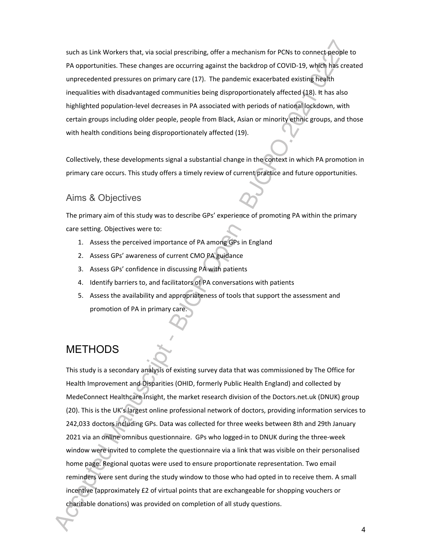such as Link Workers that, via social prescribing, offer a mechanism for PCNs to connect people to PA opportunities. These changes are occurring against the backdrop of COVID-19, which has created unprecedented pressures on primary care (17). The pandemic exacerbated existing health inequalities with disadvantaged communities being disproportionately affected (18). It has also highlighted population-level decreases in PA associated with periods of national lockdown, with certain groups including older people, people from Black, Asian or minority ethnic groups, and those with health conditions being disproportionately affected (19).

Collectively, these developments signal a substantial change in the context in which PA promotion in primary care occurs. This study offers a timely review of current practice and future opportunities.

### Aims & Objectives

The primary aim of this study was to describe GPs' experience of promoting PA within the primary care setting. Objectives were to:

- 1. Assess the perceived importance of PA among GPs in England
- 2. Assess GPs' awareness of current CMO PA guidance
- 3. Assess GPs' confidence in discussing PA with patients
- 4. Identify barriers to, and facilitators of PA conversations with patients
- 5. Assess the availability and appropriateness of tools that support the assessment and promotion of PA in primary care.

## **METHODS**

This study is a secondary analysis of existing survey data that was commissioned by The Office for Health Improvement and Disparities (OHID, formerly Public Health England) and collected by MedeConnect Healthcare Insight, the market research division of the Doctors.net.uk (DNUK) group (20). This is the UK's largest online professional network of doctors, providing information services to 242,033 doctors including GPs. Data was collected for three weeks between 8th and 29th January 2021 via an online omnibus questionnaire. GPs who logged in to DNUK during the three-week window were invited to complete the questionnaire via a link that was visible on their personalised home page. Regional quotas were used to ensure proportionate representation. Two email reminders were sent during the study window to those who had opted in to receive them. A small incentive (approximately £2 of virtual points that are exchangeable for shopping vouchers or charitable donations) was provided on completion of all study questions.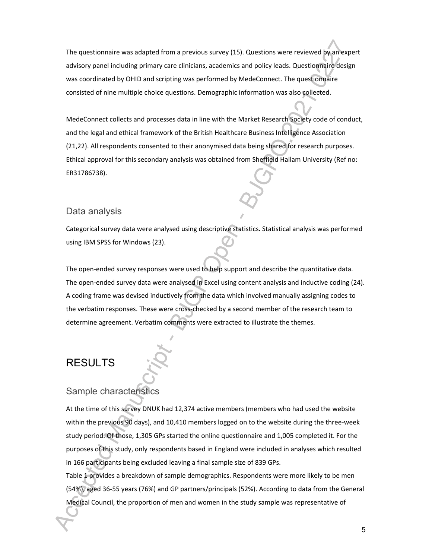The questionnaire was adapted from a previous survey (15). Questions were reviewed by an expert advisory panel including primary care clinicians, academics and policy leads. Questionnaire design was coordinated by OHID and scripting was performed by MedeConnect. The questionnaire consisted of nine multiple choice questions. Demographic information was also collected.

MedeConnect collects and processes data in line with the Market Research Society code of conduct, and the legal and ethical framework of the British Healthcare Business Intelligence Association (21,22). All respondents consented to their anonymised data being shared for research purposes. Ethical approval for this secondary analysis was obtained from Sheffield Hallam University (Ref no: ER31786738).

### Data analysis

Categorical survey data were analysed using descriptive statistics. Statistical analysis was performed using IBM SPSS for Windows (23).

The open-ended survey responses were used to help support and describe the quantitative data. The open-ended survey data were analysed in Excel using content analysis and inductive coding (24). A coding frame was devised inductively from the data which involved manually assigning codes to the verbatim responses. These were cross-checked by a second member of the research team to determine agreement. Verbatim comments were extracted to illustrate the themes.

## RESULTS

### Sample characteristics

At the time of this survey DNUK had 12,374 active members (members who had used the website within the previous 90 days), and 10,410 members logged on to the website during the three-week study period. Of those, 1,305 GPs started the online questionnaire and 1,005 completed it. For the purposes of this study, only respondents based in England were included in analyses which resulted in 166 participants being excluded leaving a final sample size of 839 GPs.

Table 1 provides a breakdown of sample demographics. Respondents were more likely to be men (54%), aged 36-55 years (76%) and GP partners/principals (52%). According to data from the General Medical Council, the proportion of men and women in the study sample was representative of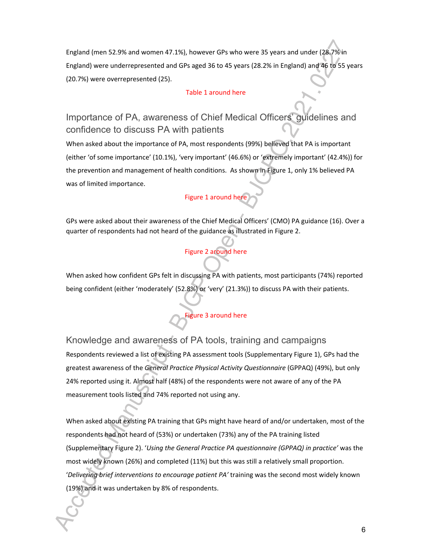England (men 52.9% and women 47.1%), however GPs who were 35 years and under (28.7% in England) were underrepresented and GPs aged 36 to 45 years (28.2% in England) and 46 to 55 years (20.7%) were overrepresented (25).

#### Table 1 around here

## Importance of PA, awareness of Chief Medical Officers' guidelines and confidence to discuss PA with patients

When asked about the importance of PA, most respondents (99%) believed that PA is important (either 'of some importance' (10.1%), 'very important' (46.6%) or 'extremely important' (42.4%)) for the prevention and management of health conditions. As shown in Figure 1, only 1% believed PA was of limited importance.

#### Figure 1 around here

GPs were asked about their awareness of the Chief Medical Officers' (CMO) PA guidance (16). Over a quarter of respondents had not heard of the guidance as illustrated in Figure 2.

#### Figure 2 around here

When asked how confident GPs felt in discussing PA with patients, most participants (74%) reported being confident (either 'moderately' (52.8%) or 'very' (21.3%)) to discuss PA with their patients.

### Figure 3 around here

Knowledge and awareness of PA tools, training and campaigns Respondents reviewed a list of existing PA assessment tools (Supplementary Figure 1), GPs had the greatest awareness of the *General Practice Physical Activity Questionnaire* (GPPAQ) (49%), but only 24% reported using it. Almost half (48%) of the respondents were not aware of any of the PA measurement tools listed and 74% reported not using any.

When asked about existing PA training that GPs might have heard of and/or undertaken, most of the respondents had not heard of (53%) or undertaken (73%) any of the PA training listed (Supplementary Figure 2). '*Using the General Practice PA questionnaire (GPPAQ) in practice'* was the most widely known (26%) and completed (11%) but this was still a relatively small proportion. '*Delivering brief interventions to encourage patient PA'* training was the second most widely known (19%) and it was undertaken by 8% of respondents.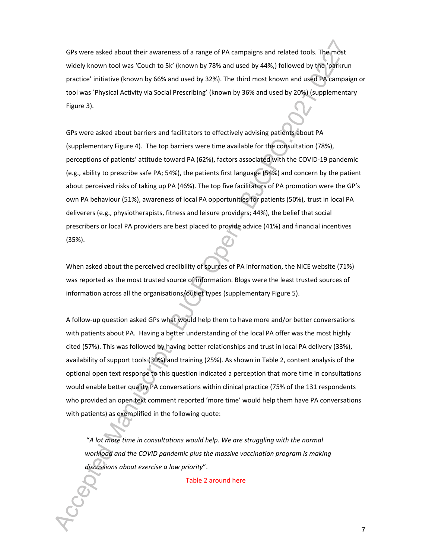GPs were asked about their awareness of a range of PA campaigns and related tools. The most widely known tool was 'Couch to 5k' (known by 78% and used by 44%,) followed by the 'parkrun practice' initiative (known by 66% and used by 32%). The third most known and used PA campaign or tool was 'Physical Activity via Social Prescribing' (known by 36% and used by 20%) (supplementary Figure 3).

GPs were asked about barriers and facilitators to effectively advising patients about PA (supplementary Figure 4). The top barriers were time available for the consultation (78%), perceptions of patients' attitude toward PA (62%), factors associated with the COVID-19 pandemic (e.g., ability to prescribe safe PA; 54%), the patients first language (54%) and concern by the patient about perceived risks of taking up PA (46%). The top five facilitators of PA promotion were the GP's own PA behaviour (51%), awareness of local PA opportunities for patients (50%), trust in local PA deliverers (e.g., physiotherapists, fitness and leisure providers; 44%), the belief that social prescribers or local PA providers are best placed to provide advice (41%) and financial incentives (35%).

When asked about the perceived credibility of sources of PA information, the NICE website (71%) was reported as the most trusted source of information. Blogs were the least trusted sources of information across all the organisations/outlet types (supplementary Figure 5).

A follow-up question asked GPs what would help them to have more and/or better conversations with patients about PA. Having a better understanding of the local PA offer was the most highly cited (57%). This was followed by having better relationships and trust in local PA delivery (33%), availability of support tools (30%) and training (25%). As shown in Table 2, content analysis of the optional open text response to this question indicated a perception that more time in consultations would enable better quality PA conversations within clinical practice (75% of the 131 respondents who provided an open text comment reported 'more time' would help them have PA conversations with patients) as exemplified in the following quote:

 "*A lot more time in consultations would help. We are struggling with the normal workload and the COVID pandemic plus the massive vaccination program is making discussions about exercise a low priority*".

Table 2 around here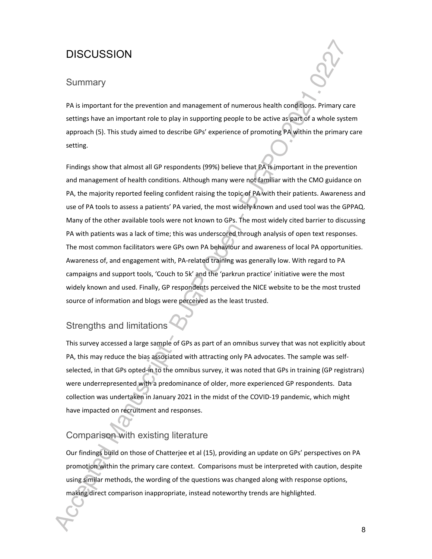## **DISCUSSION**

### **Summary**

PA is important for the prevention and management of numerous health conditions. Primary care settings have an important role to play in supporting people to be active as part of a whole system approach (5). This study aimed to describe GPs' experience of promoting PA within the primary care setting.

Findings show that almost all GP respondents (99%) believe that PA is important in the prevention and management of health conditions. Although many were not familiar with the CMO guidance on PA, the majority reported feeling confident raising the topic of PA with their patients. Awareness and use of PA tools to assess a patients' PA varied, the most widely known and used tool was the GPPAQ. Many of the other available tools were not known to GPs. The most widely cited barrier to discussing PA with patients was a lack of time; this was underscored through analysis of open text responses. The most common facilitators were GPs own PA behaviour and awareness of local PA opportunities. Awareness of, and engagement with, PA-related training was generally low. With regard to PA campaigns and support tools, 'Couch to 5k' and the 'parkrun practice' initiative were the most widely known and used. Finally, GP respondents perceived the NICE website to be the most trusted source of information and blogs were perceived as the least trusted.

## Strengths and limitations

This survey accessed a large sample of GPs as part of an omnibus survey that was not explicitly about PA, this may reduce the bias associated with attracting only PA advocates. The sample was selfselected, in that GPs opted-in to the omnibus survey, it was noted that GPs in training (GP registrars) were underrepresented with a predominance of older, more experienced GP respondents. Data collection was undertaken in January 2021 in the midst of the COVID-19 pandemic, which might have impacted on recruitment and responses.

### Comparison with existing literature

Our findings build on those of Chatterjee et al (15), providing an update on GPs' perspectives on PA promotion within the primary care context. Comparisons must be interpreted with caution, despite using similar methods, the wording of the questions was changed along with response options, making direct comparison inappropriate, instead noteworthy trends are highlighted.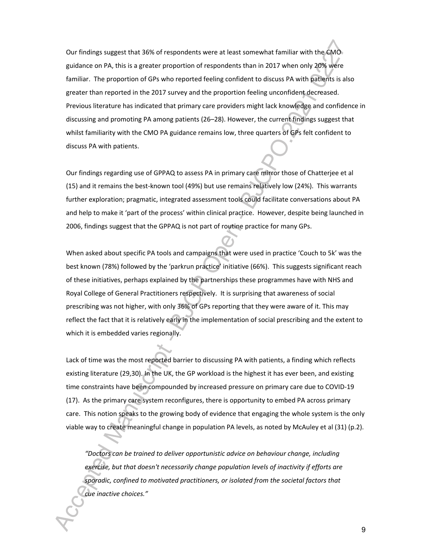Our findings suggest that 36% of respondents were at least somewhat familiar with the CMO guidance on PA, this is a greater proportion of respondents than in 2017 when only 20% were familiar. The proportion of GPs who reported feeling confident to discuss PA with patients is also greater than reported in the 2017 survey and the proportion feeling unconfident decreased. Previous literature has indicated that primary care providers might lack knowledge and confidence in discussing and promoting PA among patients (26–28). However, the current findings suggest that whilst familiarity with the CMO PA guidance remains low, three quarters of GPs felt confident to discuss PA with patients.

Our findings regarding use of GPPAQ to assess PA in primary care mirror those of Chatterjee et al (15) and it remains the best-known tool (49%) but use remains relatively low (24%). This warrants further exploration; pragmatic, integrated assessment tools could facilitate conversations about PA and help to make it 'part of the process' within clinical practice. However, despite being launched in 2006, findings suggest that the GPPAQ is not part of routine practice for many GPs.

When asked about specific PA tools and campaigns that were used in practice 'Couch to 5k' was the best known (78%) followed by the 'parkrun practice' initiative (66%). This suggests significant reach of these initiatives, perhaps explained by the partnerships these programmes have with NHS and Royal College of General Practitioners respectively. It is surprising that awareness of social prescribing was not higher, with only 36% of GPs reporting that they were aware of it. This may reflect the fact that it is relatively early in the implementation of social prescribing and the extent to which it is embedded varies regionally.

Lack of time was the most reported barrier to discussing PA with patients, a finding which reflects existing literature (29,30). In the UK, the GP workload is the highest it has ever been, and existing time constraints have been compounded by increased pressure on primary care due to COVID-19 (17). As the primary care system reconfigures, there is opportunity to embed PA across primary care. This notion speaks to the growing body of evidence that engaging the whole system is the only viable way to create meaningful change in population PA levels, as noted by McAuley et al (31) (p.2).

*"Doctors can be trained to deliver opportunistic advice on behaviour change, including exercise, but that doesn't necessarily change population levels of inactivity if efforts are sporadic, confined to motivated practitioners, or isolated from the societal factors that cue inactive choices."* 

9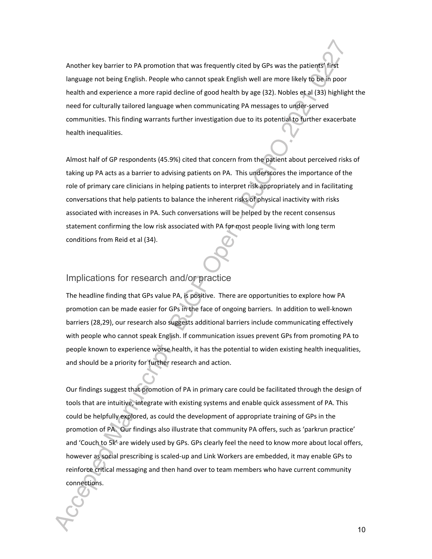Another key barrier to PA promotion that was frequently cited by GPs was the patients' first language not being English. People who cannot speak English well are more likely to be in poor health and experience a more rapid decline of good health by age (32). Nobles et al (33) highlight the need for culturally tailored language when communicating PA messages to under-served communities. This finding warrants further investigation due to its potential to further exacerbate health inequalities.

Almost half of GP respondents (45.9%) cited that concern from the patient about perceived risks of taking up PA acts as a barrier to advising patients on PA. This underscores the importance of the role of primary care clinicians in helping patients to interpret risk appropriately and in facilitating conversations that help patients to balance the inherent risks of physical inactivity with risks associated with increases in PA. Such conversations will be helped by the recent consensus statement confirming the low risk associated with PA for most people living with long term conditions from Reid et al (34).

### Implications for research and/or practice

The headline finding that GPs value PA, is positive. There are opportunities to explore how PA promotion can be made easier for GPs in the face of ongoing barriers. In addition to well-known barriers (28,29), our research also suggests additional barriers include communicating effectively with people who cannot speak English. If communication issues prevent GPs from promoting PA to people known to experience worse health, it has the potential to widen existing health inequalities, and should be a priority for further research and action.

Our findings suggest that promotion of PA in primary care could be facilitated through the design of tools that are intuitive, integrate with existing systems and enable quick assessment of PA. This could be helpfully explored, as could the development of appropriate training of GPs in the promotion of PA. Our findings also illustrate that community PA offers, such as 'parkrun practice' and 'Couch to 5k' are widely used by GPs. GPs clearly feel the need to know more about local offers, however as social prescribing is scaled-up and Link Workers are embedded, it may enable GPs to reinforce critical messaging and then hand over to team members who have current community connections.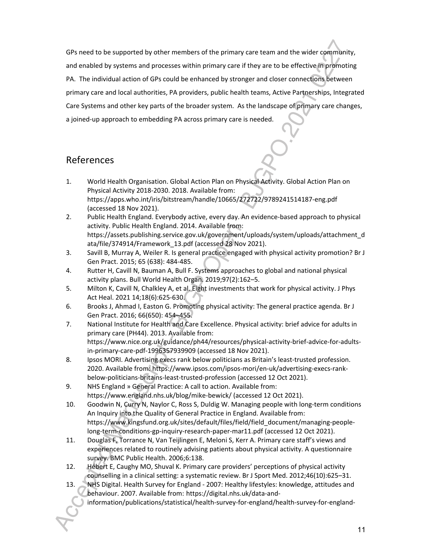GPs need to be supported by other members of the primary care team and the wider community, and enabled by systems and processes within primary care if they are to be effective in promoting PA. The individual action of GPs could be enhanced by stronger and closer connections between primary care and local authorities, PA providers, public health teams, Active Partnerships, Integrated Care Systems and other key parts of the broader system. As the landscape of primary care changes, a joined-up approach to embedding PA across primary care is needed.

## References

- 1. World Health Organisation. Global Action Plan on Physical Activity. Global Action Plan on Physical Activity 2018-2030. 2018. Available from: https://apps.who.int/iris/bitstream/handle/10665/272722/9789241514187-eng.pdf (accessed 18 Nov 2021).
- 2. Public Health England. Everybody active, every day. An evidence-based approach to physical activity. Public Health England. 2014. Available from: https://assets.publishing.service.gov.uk/government/uploads/system/uploads/attachment\_d ata/file/374914/Framework\_13.pdf (accessed 28 Nov 2021).
- 3. Savill B, Murray A, Weiler R. Is general practice engaged with physical activity promotion? Br J Gen Pract. 2015; 65 (638): 484-485.
- 4. Rutter H, Cavill N, Bauman A, Bull F. Systems approaches to global and national physical activity plans. Bull World Health Organ. 2019;97(2):162–5.
- 5. Milton K, Cavill N, Chalkley A, et al. Eight investments that work for physical activity. J Phys Act Heal. 2021 14;18(6):625-630.
- 6. Brooks J, Ahmad I, Easton G. Promoting physical activity: The general practice agenda. Br J Gen Pract. 2016; 66(650): 454–455.
- 7. National Institute for Health and Care Excellence. Physical activity: brief advice for adults in primary care (PH44). 2013. Available from: https://www.nice.org.uk/guidance/ph44/resources/physical-activity-brief-advice-for-adultsin-primary-care-pdf-1996357939909 (accessed 18 Nov 2021).
- 8. Ipsos MORI. Advertising execs rank below politicians as Britain's least-trusted profession. 2020. Available from: https://www.ipsos.com/ipsos-mori/en-uk/advertising-execs-rankbelow-politicians-britains-least-trusted-profession (accessed 12 Oct 2021).
- 9. NHS England » General Practice: A call to action. Available from: https://www.england.nhs.uk/blog/mike-bewick/ (accessed 12 Oct 2021).
- 10. Goodwin N, Curry N, Naylor C, Ross S, Duldig W. Managing people with long-term conditions An Inquiry into the Quality of General Practice in England. Available from: https://www.kingsfund.org.uk/sites/default/files/field/field\_document/managing-peoplelong-term-conditions-gp-inquiry-research-paper-mar11.pdf (accessed 12 Oct 2021).
- 11. Douglas F, Torrance N, Van Teijlingen E, Meloni S, Kerr A. Primary care staff's views and experiences related to routinely advising patients about physical activity. A questionnaire survey. BMC Public Health. 2006;6:138.
- 12. Hébert E, Caughy MO, Shuval K. Primary care providers' perceptions of physical activity counselling in a clinical setting: a systematic review. Br J Sport Med. 2012;46(10):625–31.
- 13. NHS Digital. Health Survey for England 2007: Healthy lifestyles: knowledge, attitudes and behaviour. 2007. Available from: https://digital.nhs.uk/data-and
	- information/publications/statistical/health-survey-for-england/health-survey-for-england-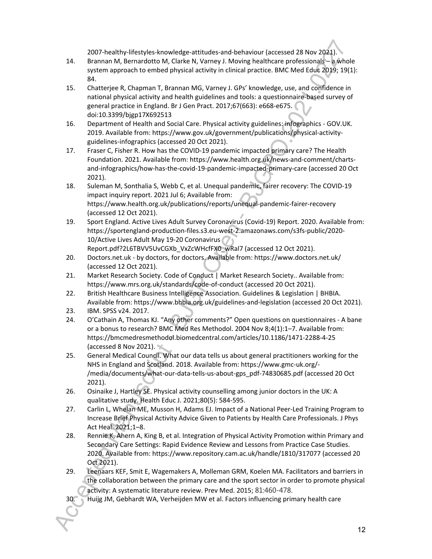2007-healthy-lifestyles-knowledge-attitudes-and-behaviour (accessed 28 Nov 2021).

- 14. Brannan M, Bernardotto M, Clarke N, Varney J. Moving healthcare professionals a whole system approach to embed physical activity in clinical practice. BMC Med Educ 2019; 19(1): 84.
- 15. Chatterjee R, Chapman T, Brannan MG, Varney J. GPs' knowledge, use, and confidence in national physical activity and health guidelines and tools: a questionnaire-based survey of general practice in England. Br J Gen Pract. 2017;67(663): e668-e675. doi:10.3399/bjgp17X692513
- 16. Department of Health and Social Care. Physical activity guidelines: infographics GOV.UK. 2019. Available from: https://www.gov.uk/government/publications/physical-activityguidelines-infographics (accessed 20 Oct 2021).
- 17. Fraser C, Fisher R. How has the COVID-19 pandemic impacted primary care? The Health Foundation. 2021. Available from: https://www.health.org.uk/news-and-comment/chartsand-infographics/how-has-the-covid-19-pandemic-impacted-primary-care (accessed 20 Oct 2021).
- 18. Suleman M, Sonthalia S, Webb C, et al. Unequal pandemic, fairer recovery: The COVID-19 impact inquiry report. 2021 Jul 6; Available from: https://www.health.org.uk/publications/reports/unequal-pandemic-fairer-recovery (accessed 12 Oct 2021).
- 19. Sport England. Active Lives Adult Survey Coronavirus (Covid-19) Report. 2020. Available from: https://sportengland-production-files.s3.eu-west-2.amazonaws.com/s3fs-public/2020- 10/Active Lives Adult May 19-20 Coronavirus Report.pdf?2L6TBVV5UvCGXb\_VxZcWHcfFX0\_wRal7 (accessed 12 Oct 2021).
- 20. Doctors.net.uk by doctors, for doctors. Available from: https://www.doctors.net.uk/ (accessed 12 Oct 2021).
- 21. Market Research Society. Code of Conduct | Market Research Society.. Available from: https://www.mrs.org.uk/standards/code-of-conduct (accessed 20 Oct 2021).
- 22. British Healthcare Business Intelligence Association. Guidelines & Legislation | BHBIA. Available from: https://www.bhbia.org.uk/guidelines-and-legislation (accessed 20 Oct 2021).
- 23. IBM. SPSS v24. 2017.
- 24. O'Cathain A, Thomas KJ. "Any other comments?" Open questions on questionnaires A bane or a bonus to research? BMC Med Res Methodol. 2004 Nov 8;4(1):1–7. Available from: https://bmcmedresmethodol.biomedcentral.com/articles/10.1186/1471-2288-4-25 (accessed 8 Nov 2021).
- 25. General Medical Council. What our data tells us about general practitioners working for the NHS in England and Scotland. 2018. Available from: https://www.gmc-uk.org/- /media/documents/what-our-data-tells-us-about-gps\_pdf-74830685.pdf (accessed 20 Oct 2021).
- 26. Osinaike J, Hartley SE. Physical activity counselling among junior doctors in the UK: A qualitative study. Health Educ J. 2021;80(5): 584-595.
- 27. Carlin L, Whelan ME, Musson H, Adams EJ. Impact of a National Peer-Led Training Program to Increase Brief Physical Activity Advice Given to Patients by Health Care Professionals. J Phys Act Heal. 2021;1–8.
- 28. Rennie K, Ahern A, King B, et al. Integration of Physical Activity Promotion within Primary and Secondary Care Settings: Rapid Evidence Review and Lessons from Practice Case Studies. 2020. Available from: https://www.repository.cam.ac.uk/handle/1810/317077 (accessed 20 Oct 2021).
- 29. Leenaars KEF, Smit E, Wagemakers A, Molleman GRM, Koelen MA. Facilitators and barriers in the collaboration between the primary care and the sport sector in order to promote physical activity: A systematic literature review. Prev Med. 2015; 81:460-478.
- 30. Huijg JM, Gebhardt WA, Verheijden MW et al. Factors influencing primary health care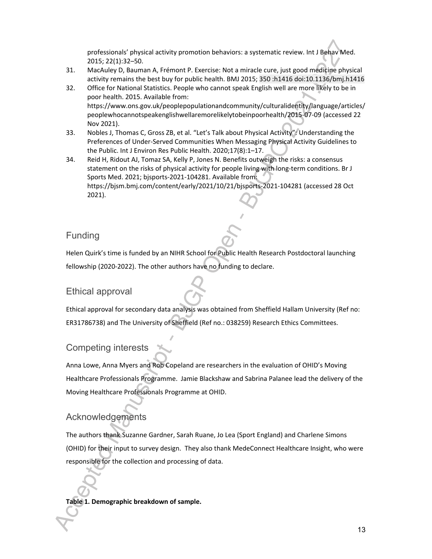professionals' physical activity promotion behaviors: a systematic review. Int J Behav Med. 2015; 22(1):32–50.

- 31. MacAuley D, Bauman A, Frémont P. Exercise: Not a miracle cure, just good medicine physical activity remains the best buy for public health. BMJ 2015; 350 :h1416 doi:10.1136/bmj.h1416
- 32. Office for National Statistics. People who cannot speak English well are more likely to be in poor health. 2015. Available from: https://www.ons.gov.uk/peoplepopulationandcommunity/culturalidentity/language/articles/ peoplewhocannotspeakenglishwellaremorelikelytobeinpoorhealth/2015-07-09 (accessed 22 Nov 2021).
- 33. Nobles J, Thomas C, Gross ZB, et al. "Let's Talk about Physical Activity": Understanding the Preferences of Under-Served Communities When Messaging Physical Activity Guidelines to the Public. Int J Environ Res Public Health. 2020;17(8):1–17.
- 34. Reid H, Ridout AJ, Tomaz SA, Kelly P, Jones N. Benefits outweigh the risks: a consensus statement on the risks of physical activity for people living with long-term conditions. Br J Sports Med. 2021; bjsports-2021-104281. Available from: https://bjsm.bmj.com/content/early/2021/10/21/bjsports-2021-104281 (accessed 28 Oct 2021).

### Funding

Helen Quirk's time is funded by an NIHR School for Public Health Research Postdoctoral launching fellowship (2020-2022). The other authors have no funding to declare.

### Ethical approval

Ethical approval for secondary data analysis was obtained from Sheffield Hallam University (Ref no: ER31786738) and The University of Sheffield (Ref no.: 038259) Research Ethics Committees.

### Competing interests

Anna Lowe, Anna Myers and Rob Copeland are researchers in the evaluation of OHID's Moving Healthcare Professionals Programme. Jamie Blackshaw and Sabrina Palanee lead the delivery of the Moving Healthcare Professionals Programme at OHID.

### Acknowledgements

The authors thank Suzanne Gardner, Sarah Ruane, Jo Lea (Sport England) and Charlene Simons (OHID) for their input to survey design. They also thank MedeConnect Healthcare Insight, who were responsible for the collection and processing of data.

#### **Table 1. Demographic breakdown of sample.**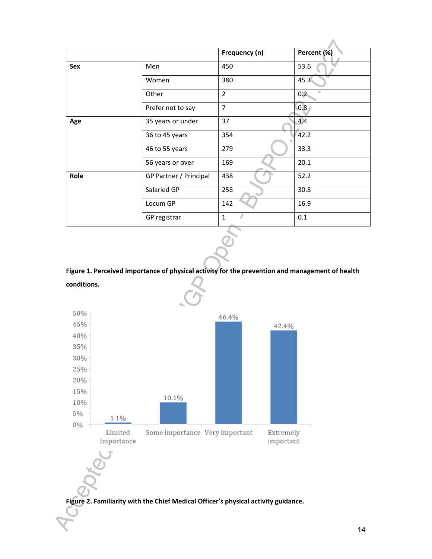|      |                        | Frequency (n)  | Percent (%) |
|------|------------------------|----------------|-------------|
| Sex  | Men                    | 450            | 53.6        |
|      | Women                  | 380            | 45.3        |
|      | Other                  | $\overline{2}$ | 0.2         |
|      | Prefer not to say      | $\overline{7}$ | 0.8         |
| Age  | 35 years or under      | 37             | 4.4         |
|      | 36 to 45 years         | 354            | 42.2        |
|      | 46 to 55 years         | 279            | 33.3        |
|      | 56 years or over       | 169            | 20.1        |
| Role | GP Partner / Principal | 438            | 52.2        |
|      | Salaried GP            | 258            | 30.8        |
|      | Locum GP               | 142            | 16.9        |
|      | GP registrar           | $\mathbf{1}$   | 0.1         |

**Figure 1. Perceived importance of physical activity for the prevention and management of health conditions.**



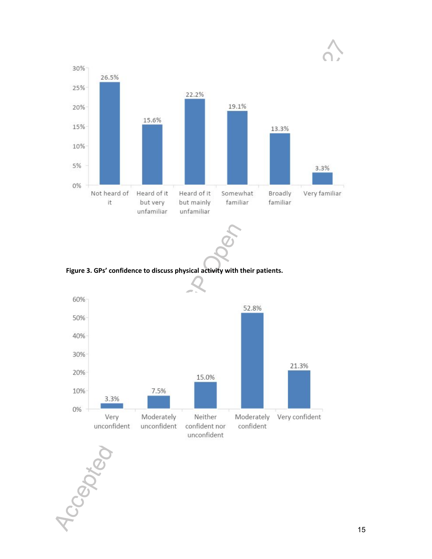



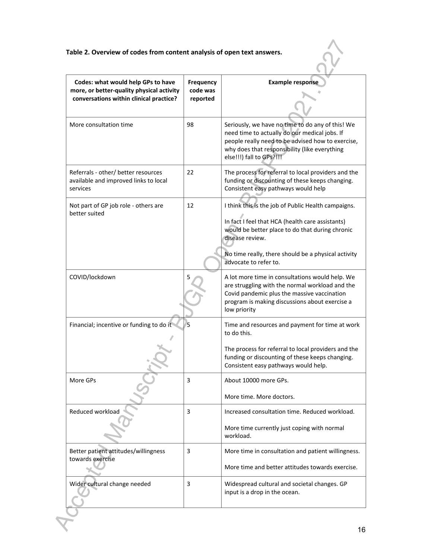### **Table 2. Overview of codes from content analysis of open text answers.**

| Codes: what would help GPs to have<br>more, or better-quality physical activity<br>conversations within clinical practice? | Frequency<br>code was<br>reported | <b>Example response</b>                                                                                                                                                                                                                                       |
|----------------------------------------------------------------------------------------------------------------------------|-----------------------------------|---------------------------------------------------------------------------------------------------------------------------------------------------------------------------------------------------------------------------------------------------------------|
| More consultation time                                                                                                     | 98                                | Seriously, we have no time to do any of this! We<br>need time to actually do our medical jobs. If<br>people really need to be advised how to exercise,<br>why does that responsibility (like everything<br>else!!!) fall to GPs?!!!                           |
| Referrals - other/ better resources<br>available and improved links to local<br>services                                   | 22                                | The process for referral to local providers and the<br>funding or discounting of these keeps changing.<br>Consistent easy pathways would help                                                                                                                 |
| Not part of GP job role - others are<br>better suited                                                                      | 12                                | I think this is the job of Public Health campaigns.<br>In fact I feel that HCA (health care assistants)<br>would be better place to do that during chronic<br>disease review.<br>No time really, there should be a physical activity<br>advocate to refer to. |
| COVID/lockdown                                                                                                             |                                   | A lot more time in consultations would help. We<br>are struggling with the normal workload and the<br>Covid pandemic plus the massive vaccination<br>program is making discussions about exercise a<br>low priority                                           |
| Financial; incentive or funding to do it                                                                                   | 5                                 | Time and resources and payment for time at work<br>to do this.<br>The process for referral to local providers and the<br>funding or discounting of these keeps changing.<br>Consistent easy pathways would help.                                              |
| More GPs                                                                                                                   | 3                                 | About 10000 more GPs.<br>More time. More doctors.                                                                                                                                                                                                             |
| Reduced workload                                                                                                           | 3                                 | Increased consultation time. Reduced workload.<br>More time currently just coping with normal<br>workload.                                                                                                                                                    |
| Better patient attitudes/willingness<br>towards exercise                                                                   | 3                                 | More time in consultation and patient willingness.<br>More time and better attitudes towards exercise.                                                                                                                                                        |
| Wider cultural change needed                                                                                               | 3                                 | Widespread cultural and societal changes. GP<br>input is a drop in the ocean.                                                                                                                                                                                 |